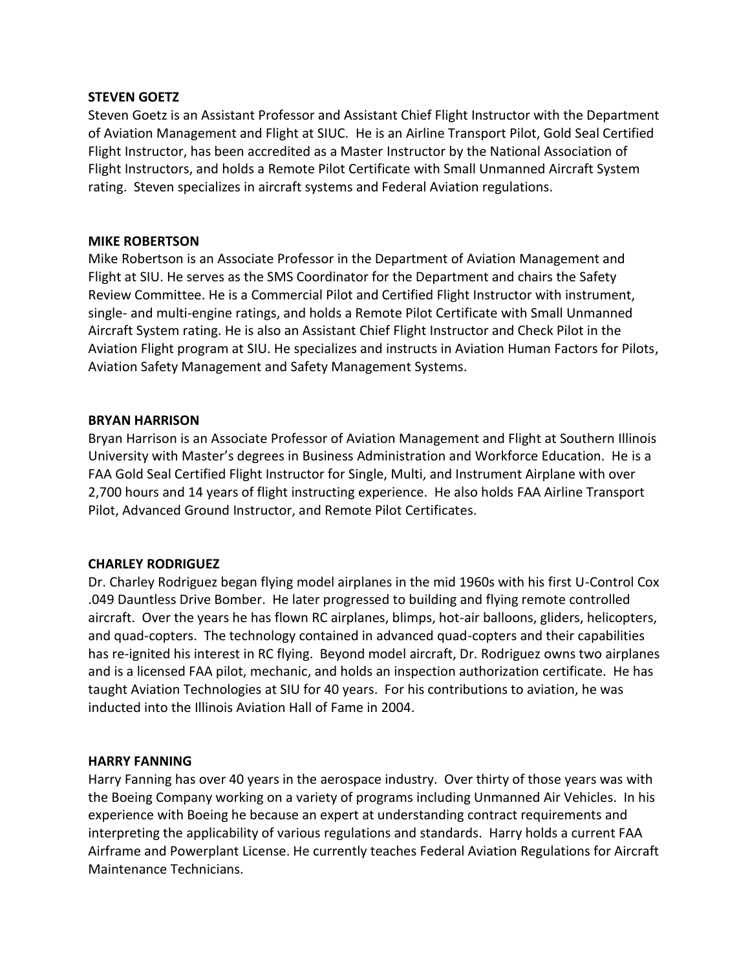### **STEVEN GOETZ**

Steven Goetz is an Assistant Professor and Assistant Chief Flight Instructor with the Department of Aviation Management and Flight at SIUC. He is an Airline Transport Pilot, Gold Seal Certified Flight Instructor, has been accredited as a Master Instructor by the National Association of Flight Instructors, and holds a Remote Pilot Certificate with Small Unmanned Aircraft System rating. Steven specializes in aircraft systems and Federal Aviation regulations.

### **MIKE ROBERTSON**

Mike Robertson is an Associate Professor in the Department of Aviation Management and Flight at SIU. He serves as the SMS Coordinator for the Department and chairs the Safety Review Committee. He is a Commercial Pilot and Certified Flight Instructor with instrument, single- and multi-engine ratings, and holds a Remote Pilot Certificate with Small Unmanned Aircraft System rating. He is also an Assistant Chief Flight Instructor and Check Pilot in the Aviation Flight program at SIU. He specializes and instructs in Aviation Human Factors for Pilots, Aviation Safety Management and Safety Management Systems.

# **BRYAN HARRISON**

Bryan Harrison is an Associate Professor of Aviation Management and Flight at Southern Illinois University with Master's degrees in Business Administration and Workforce Education. He is a FAA Gold Seal Certified Flight Instructor for Single, Multi, and Instrument Airplane with over 2,700 hours and 14 years of flight instructing experience. He also holds FAA Airline Transport Pilot, Advanced Ground Instructor, and Remote Pilot Certificates.

# **CHARLEY RODRIGUEZ**

Dr. Charley Rodriguez began flying model airplanes in the mid 1960s with his first U-Control Cox .049 Dauntless Drive Bomber. He later progressed to building and flying remote controlled aircraft. Over the years he has flown RC airplanes, blimps, hot-air balloons, gliders, helicopters, and quad-copters. The technology contained in advanced quad-copters and their capabilities has re-ignited his interest in RC flying. Beyond model aircraft, Dr. Rodriguez owns two airplanes and is a licensed FAA pilot, mechanic, and holds an inspection authorization certificate. He has taught Aviation Technologies at SIU for 40 years. For his contributions to aviation, he was inducted into the Illinois Aviation Hall of Fame in 2004.

# **HARRY FANNING**

Harry Fanning has over 40 years in the aerospace industry. Over thirty of those years was with the Boeing Company working on a variety of programs including Unmanned Air Vehicles. In his experience with Boeing he because an expert at understanding contract requirements and interpreting the applicability of various regulations and standards. Harry holds a current FAA Airframe and Powerplant License. He currently teaches Federal Aviation Regulations for Aircraft Maintenance Technicians.